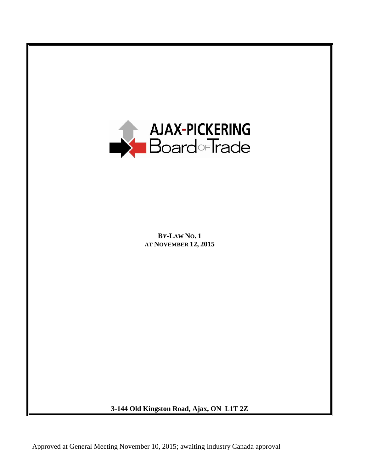

**3-144 Old Kingston Road, Ajax, ON L1T 2Z**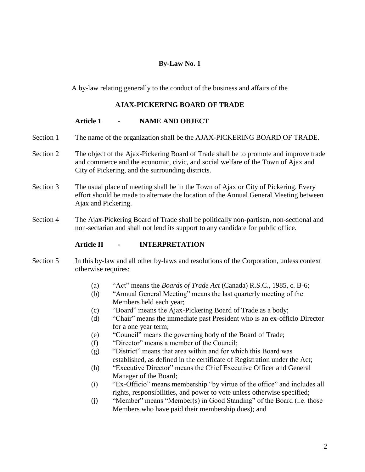# **By-Law No. 1**

A by-law relating generally to the conduct of the business and affairs of the

# **AJAX-PICKERING BOARD OF TRADE**

# **Article 1 - NAME AND OBJECT**

- Section 1 The name of the organization shall be the AJAX-PICKERING BOARD OF TRADE.
- Section 2 The object of the Ajax-Pickering Board of Trade shall be to promote and improve trade and commerce and the economic, civic, and social welfare of the Town of Ajax and City of Pickering, and the surrounding districts.
- Section 3 The usual place of meeting shall be in the Town of Ajax or City of Pickering. Every effort should be made to alternate the location of the Annual General Meeting between Ajax and Pickering.
- Section 4 The Ajax-Pickering Board of Trade shall be politically non-partisan, non-sectional and non-sectarian and shall not lend its support to any candidate for public office.

# **Article II - INTERPRETATION**

- Section 5 In this by-law and all other by-laws and resolutions of the Corporation, unless context otherwise requires:
	- (a) "Act" means the *Boards of Trade Act* (Canada) R.S.C., 1985, c. B-6;
	- (b) "Annual General Meeting" means the last quarterly meeting of the Members held each year;
	- (c) "Board" means the Ajax-Pickering Board of Trade as a body;
	- (d) "Chair" means the immediate past President who is an ex-officio Director for a one year term;
	- (e) "Council" means the governing body of the Board of Trade;
	- (f) "Director" means a member of the Council;
	- (g) "District" means that area within and for which this Board was established, as defined in the certificate of Registration under the Act;
	- (h) "Executive Director" means the Chief Executive Officer and General Manager of the Board;
	- (i) "Ex-Officio" means membership "by virtue of the office" and includes all rights, responsibilities, and power to vote unless otherwise specified;
	- (j) "Member" means "Member(s) in Good Standing" of the Board (i.e. those Members who have paid their membership dues); and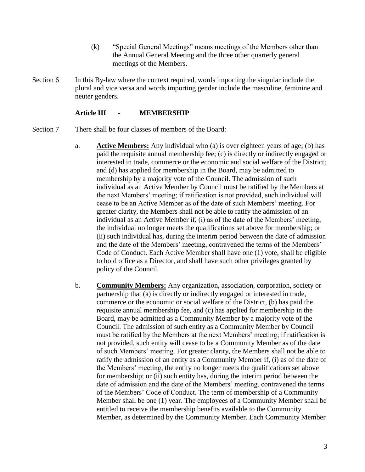- (k) "Special General Meetings" means meetings of the Members other than the Annual General Meeting and the three other quarterly general meetings of the Members.
- Section 6 In this By-law where the context required, words importing the singular include the plural and vice versa and words importing gender include the masculine, feminine and neuter genders.

#### **Article III - MEMBERSHIP**

- Section 7 There shall be four classes of members of the Board:
	- a. **Active Members:** Any individual who (a) is over eighteen years of age; (b) has paid the requisite annual membership fee; (c) is directly or indirectly engaged or interested in trade, commerce or the economic and social welfare of the District; and (d) has applied for membership in the Board, may be admitted to membership by a majority vote of the Council. The admission of such individual as an Active Member by Council must be ratified by the Members at the next Members' meeting; if ratification is not provided, such individual will cease to be an Active Member as of the date of such Members' meeting. For greater clarity, the Members shall not be able to ratify the admission of an individual as an Active Member if, (i) as of the date of the Members' meeting, the individual no longer meets the qualifications set above for membership; or (ii) such individual has, during the interim period between the date of admission and the date of the Members' meeting, contravened the terms of the Members' Code of Conduct. Each Active Member shall have one (1) vote, shall be eligible to hold office as a Director, and shall have such other privileges granted by policy of the Council.
	- b. **Community Members:** Any organization, association, corporation, society or partnership that (a) is directly or indirectly engaged or interested in trade, commerce or the economic or social welfare of the District, (b) has paid the requisite annual membership fee, and (c) has applied for membership in the Board, may be admitted as a Community Member by a majority vote of the Council. The admission of such entity as a Community Member by Council must be ratified by the Members at the next Members' meeting; if ratification is not provided, such entity will cease to be a Community Member as of the date of such Members' meeting. For greater clarity, the Members shall not be able to ratify the admission of an entity as a Community Member if, (i) as of the date of the Members' meeting, the entity no longer meets the qualifications set above for membership; or (ii) such entity has, during the interim period between the date of admission and the date of the Members' meeting, contravened the terms of the Members' Code of Conduct. The term of membership of a Community Member shall be one (1) year. The employees of a Community Member shall be entitled to receive the membership benefits available to the Community Member, as determined by the Community Member. Each Community Member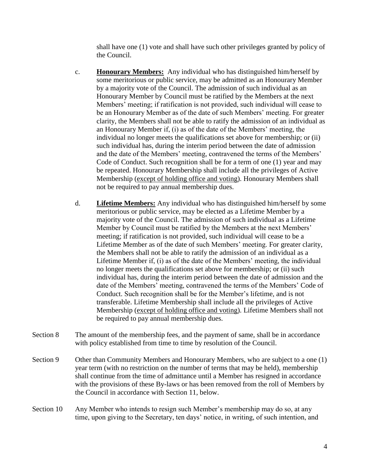shall have one (1) vote and shall have such other privileges granted by policy of the Council.

- c. **Honourary Members:** Any individual who has distinguished him/herself by some meritorious or public service, may be admitted as an Honourary Member by a majority vote of the Council. The admission of such individual as an Honourary Member by Council must be ratified by the Members at the next Members' meeting; if ratification is not provided, such individual will cease to be an Honourary Member as of the date of such Members' meeting. For greater clarity, the Members shall not be able to ratify the admission of an individual as an Honourary Member if, (i) as of the date of the Members' meeting, the individual no longer meets the qualifications set above for membership; or (ii) such individual has, during the interim period between the date of admission and the date of the Members' meeting, contravened the terms of the Members' Code of Conduct. Such recognition shall be for a term of one (1) year and may be repeated. Honourary Membership shall include all the privileges of Active Membership (except of holding office and voting). Honourary Members shall not be required to pay annual membership dues.
- d. **Lifetime Members:** Any individual who has distinguished him/herself by some meritorious or public service, may be elected as a Lifetime Member by a majority vote of the Council. The admission of such individual as a Lifetime Member by Council must be ratified by the Members at the next Members' meeting; if ratification is not provided, such individual will cease to be a Lifetime Member as of the date of such Members' meeting. For greater clarity, the Members shall not be able to ratify the admission of an individual as a Lifetime Member if, (i) as of the date of the Members' meeting, the individual no longer meets the qualifications set above for membership; or (ii) such individual has, during the interim period between the date of admission and the date of the Members' meeting, contravened the terms of the Members' Code of Conduct. Such recognition shall be for the Member's lifetime, and is not transferable. Lifetime Membership shall include all the privileges of Active Membership (except of holding office and voting). Lifetime Members shall not be required to pay annual membership dues.
- Section 8 The amount of the membership fees, and the payment of same, shall be in accordance with policy established from time to time by resolution of the Council.
- Section 9 Other than Community Members and Honourary Members, who are subject to a one (1) year term (with no restriction on the number of terms that may be held), membership shall continue from the time of admittance until a Member has resigned in accordance with the provisions of these By-laws or has been removed from the roll of Members by the Council in accordance with Section 11, below.
- Section 10 Any Member who intends to resign such Member's membership may do so, at any time, upon giving to the Secretary, ten days' notice, in writing, of such intention, and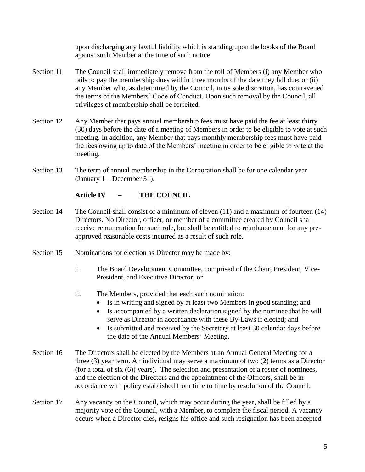upon discharging any lawful liability which is standing upon the books of the Board against such Member at the time of such notice.

- Section 11 The Council shall immediately remove from the roll of Members (i) any Member who fails to pay the membership dues within three months of the date they fall due; or (ii) any Member who, as determined by the Council, in its sole discretion, has contravened the terms of the Members' Code of Conduct. Upon such removal by the Council, all privileges of membership shall be forfeited.
- Section 12 Any Member that pays annual membership fees must have paid the fee at least thirty (30) days before the date of a meeting of Members in order to be eligible to vote at such meeting. In addition, any Member that pays monthly membership fees must have paid the fees owing up to date of the Members' meeting in order to be eligible to vote at the meeting.
- Section 13 The term of annual membership in the Corporation shall be for one calendar year (January 1 – December 31).

# **Article IV – THE COUNCIL**

- Section 14 The Council shall consist of a minimum of eleven (11) and a maximum of fourteen (14) Directors. No Director, officer, or member of a committee created by Council shall receive remuneration for such role, but shall be entitled to reimbursement for any preapproved reasonable costs incurred as a result of such role.
- Section 15 Nominations for election as Director may be made by:
	- i. The Board Development Committee, comprised of the Chair, President, Vice-President, and Executive Director; or
	- ii. The Members, provided that each such nomination:
		- Is in writing and signed by at least two Members in good standing; and
		- Is accompanied by a written declaration signed by the nominee that he will serve as Director in accordance with these By-Laws if elected; and
		- Is submitted and received by the Secretary at least 30 calendar days before the date of the Annual Members' Meeting.
- Section 16 The Directors shall be elected by the Members at an Annual General Meeting for a three (3) year term. An individual may serve a maximum of two (2) terms as a Director (for a total of six (6)) years). The selection and presentation of a roster of nominees, and the election of the Directors and the appointment of the Officers, shall be in accordance with policy established from time to time by resolution of the Council.
- Section 17 Any vacancy on the Council, which may occur during the year, shall be filled by a majority vote of the Council, with a Member, to complete the fiscal period. A vacancy occurs when a Director dies, resigns his office and such resignation has been accepted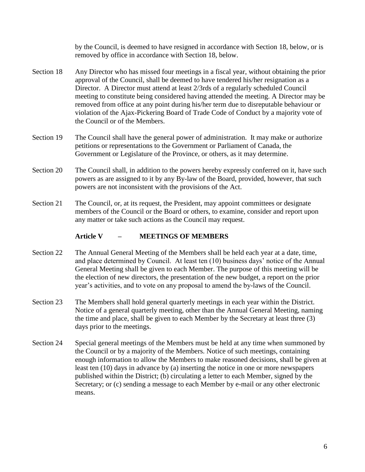by the Council, is deemed to have resigned in accordance with Section 18, below, or is removed by office in accordance with Section 18, below.

- Section 18 Any Director who has missed four meetings in a fiscal year, without obtaining the prior approval of the Council, shall be deemed to have tendered his/her resignation as a Director. A Director must attend at least 2/3rds of a regularly scheduled Council meeting to constitute being considered having attended the meeting. A Director may be removed from office at any point during his/her term due to disreputable behaviour or violation of the Ajax-Pickering Board of Trade Code of Conduct by a majority vote of the Council or of the Members.
- Section 19 The Council shall have the general power of administration. It may make or authorize petitions or representations to the Government or Parliament of Canada, the Government or Legislature of the Province, or others, as it may determine.
- Section 20 The Council shall, in addition to the powers hereby expressly conferred on it, have such powers as are assigned to it by any By-law of the Board, provided, however, that such powers are not inconsistent with the provisions of the Act.
- Section 21 The Council, or, at its request, the President, may appoint committees or designate members of the Council or the Board or others, to examine, consider and report upon any matter or take such actions as the Council may request.

# **Article V – MEETINGS OF MEMBERS**

- Section 22 The Annual General Meeting of the Members shall be held each year at a date, time, and place determined by Council. At least ten (10) business days' notice of the Annual General Meeting shall be given to each Member. The purpose of this meeting will be the election of new directors, the presentation of the new budget, a report on the prior year's activities, and to vote on any proposal to amend the by-laws of the Council.
- Section 23 The Members shall hold general quarterly meetings in each year within the District. Notice of a general quarterly meeting, other than the Annual General Meeting, naming the time and place, shall be given to each Member by the Secretary at least three (3) days prior to the meetings.
- Section 24 Special general meetings of the Members must be held at any time when summoned by the Council or by a majority of the Members. Notice of such meetings, containing enough information to allow the Members to make reasoned decisions, shall be given at least ten (10) days in advance by (a) inserting the notice in one or more newspapers published within the District; (b) circulating a letter to each Member, signed by the Secretary; or (c) sending a message to each Member by e-mail or any other electronic means.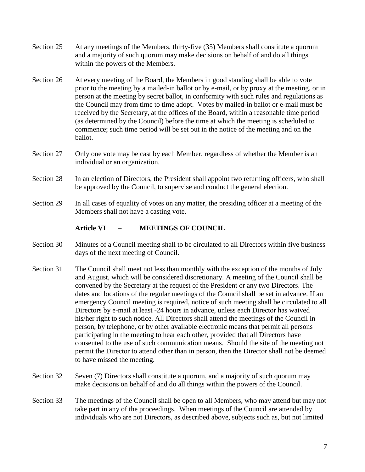- Section 25 At any meetings of the Members, thirty-five (35) Members shall constitute a quorum and a majority of such quorum may make decisions on behalf of and do all things within the powers of the Members.
- Section 26 At every meeting of the Board, the Members in good standing shall be able to vote prior to the meeting by a mailed-in ballot or by e-mail, or by proxy at the meeting, or in person at the meeting by secret ballot, in conformity with such rules and regulations as the Council may from time to time adopt. Votes by mailed-in ballot or e-mail must be received by the Secretary, at the offices of the Board, within a reasonable time period (as determined by the Council) before the time at which the meeting is scheduled to commence; such time period will be set out in the notice of the meeting and on the ballot.
- Section 27 Only one vote may be cast by each Member, regardless of whether the Member is an individual or an organization.
- Section 28 In an election of Directors, the President shall appoint two returning officers, who shall be approved by the Council, to supervise and conduct the general election.
- Section 29 In all cases of equality of votes on any matter, the presiding officer at a meeting of the Members shall not have a casting vote.

### **Article VI – MEETINGS OF COUNCIL**

- Section 30 Minutes of a Council meeting shall to be circulated to all Directors within five business days of the next meeting of Council.
- Section 31 The Council shall meet not less than monthly with the exception of the months of July and August, which will be considered discretionary. A meeting of the Council shall be convened by the Secretary at the request of the President or any two Directors. The dates and locations of the regular meetings of the Council shall be set in advance. If an emergency Council meeting is required, notice of such meeting shall be circulated to all Directors by e-mail at least -24 hours in advance, unless each Director has waived his/her right to such notice. All Directors shall attend the meetings of the Council in person, by telephone, or by other available electronic means that permit all persons participating in the meeting to hear each other, provided that all Directors have consented to the use of such communication means. Should the site of the meeting not permit the Director to attend other than in person, then the Director shall not be deemed to have missed the meeting.
- Section 32 Seven (7) Directors shall constitute a quorum, and a majority of such quorum may make decisions on behalf of and do all things within the powers of the Council.
- Section 33 The meetings of the Council shall be open to all Members, who may attend but may not take part in any of the proceedings. When meetings of the Council are attended by individuals who are not Directors, as described above, subjects such as, but not limited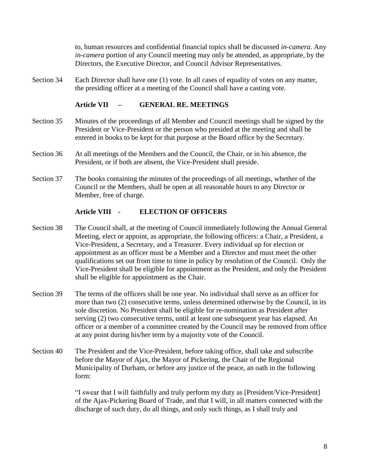to, human resources and confidential financial topics shall be discussed *in-camera*. Any *in-camera* portion of any Council meeting may only be attended, as appropriate, by the Directors, the Executive Director, and Council Advisor Representatives.

Section 34 Each Director shall have one (1) vote. In all cases of equality of votes on any matter, the presiding officer at a meeting of the Council shall have a casting vote.

## **Article VII – GENERAL RE. MEETINGS**

- Section 35 Minutes of the proceedings of all Member and Council meetings shall be signed by the President or Vice-President or the person who presided at the meeting and shall be entered in books to be kept for that purpose at the Board office by the Secretary.
- Section 36 At all meetings of the Members and the Council, the Chair, or in his absence, the President, or if both are absent, the Vice-President shall preside.
- Section 37 The books containing the minutes of the proceedings of all meetings, whether of the Council or the Members, shall be open at all reasonable hours to any Director or Member, free of charge.

### **Article VIII - ELECTION OF OFFICERS**

- Section 38 The Council shall, at the meeting of Council immediately following the Annual General Meeting, elect or appoint, as appropriate, the following officers: a Chair, a President, a Vice-President, a Secretary, and a Treasurer. Every individual up for election or appointment as an officer must be a Member and a Director and must meet the other qualifications set out from time to time in policy by resolution of the Council. Only the Vice-President shall be eligible for appointment as the President, and only the President shall be eligible for appointment as the Chair.
- Section 39 The terms of the officers shall be one year. No individual shall serve as an officer for more than two (2) consecutive terms, unless determined otherwise by the Council, in its sole discretion. No President shall be eligible for re-nomination as President after serving (2) two consecutive terms, until at least one subsequent year has elapsed. An officer or a member of a committee created by the Council may be removed from office at any point during his/her term by a majority vote of the Council.
- Section 40 The President and the Vice-President, before taking office, shall take and subscribe before the Mayor of Ajax, the Mayor of Pickering, the Chair of the Regional Municipality of Durham, or before any justice of the peace, an oath in the following form:

"I swear that I will faithfully and truly perform my duty as [President/Vice-President] of the Ajax-Pickering Board of Trade, and that I will, in all matters connected with the discharge of such duty, do all things, and only such things, as I shall truly and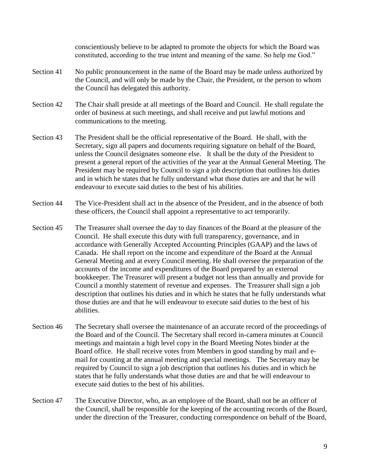conscientiously believe to be adapted to promote the objects for which the Board was constituted, according to the true intent and meaning of the same. So help me God."

- Section 41 No public pronouncement in the name of the Board may be made unless authorized by the Council, and will only be made by the Chair, the President, or the person to whom the Council has delegated this authority.
- Section 42 The Chair shall preside at all meetings of the Board and Council. He shall regulate the order of business at such meetings, and shall receive and put lawful motions and communications to the meeting.
- Section 43 The President shall be the official representative of the Board. He shall, with the Secretary, sign all papers and documents requiring signature on behalf of the Board, unless the Council designates someone else. It shall be the duty of the President to present a general report of the activities of the year at the Annual General Meeting. The President may be required by Council to sign a job description that outlines his duties and in which he states that he fully understand what those duties are and that he will endeavour to execute said duties to the best of his abilities.
- Section 44 The Vice-President shall act in the absence of the President, and in the absence of both these officers, the Council shall appoint a representative to act temporarily.
- Section 45 The Treasurer shall oversee the day to day finances of the Board at the pleasure of the Council. He shall execute this duty with full transparency, governance, and in accordance with Generally Accepted Accounting Principles (GAAP) and the laws of Canada. He shall report on the income and expenditure of the Board at the Annual General Meeting and at every Council meeting. He shall oversee the preparation of the accounts of the income and expenditures of the Board prepared by an external bookkeeper. The Treasurer will present a budget not less than annually and provide for Council a monthly statement of revenue and expenses. The Treasurer shall sign a job description that outlines his duties and in which he states that he fully understands what those duties are and that he will endeavour to execute said duties to the best of his abilities.
- Section 46 The Secretary shall oversee the maintenance of an accurate record of the proceedings of the Board and of the Council. The Secretary shall record in-camera minutes at Council meetings and maintain a high level copy in the Board Meeting Notes binder at the Board office. He shall receive votes from Members in good standing by mail and email for counting at the annual meeting and special meetings. The Secretary may be required by Council to sign a job description that outlines his duties and in which he states that he fully understands what those duties are and that he will endeavour to execute said duties to the best of his abilities.
- Section 47 The Executive Director, who, as an employee of the Board, shall not be an officer of the Council, shall be responsible for the keeping of the accounting records of the Board, under the direction of the Treasurer, conducting correspondence on behalf of the Board,